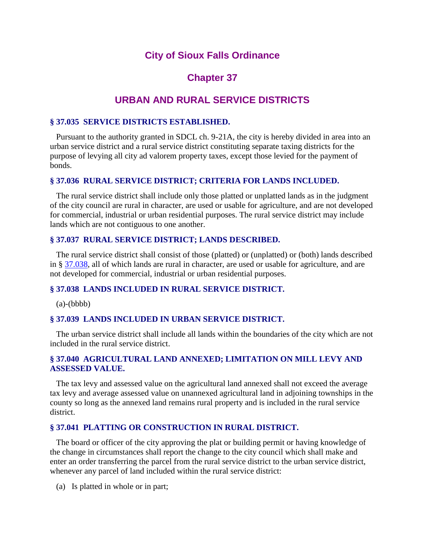## **City of Sioux Falls Ordinance**

# **Chapter 37**

## **URBAN AND RURAL SERVICE DISTRICTS**

### **§ 37.035 SERVICE DISTRICTS ESTABLISHED.**

 Pursuant to the authority granted in SDCL ch. 9-21A, the city is hereby divided in area into an urban service district and a rural service district constituting separate taxing districts for the purpose of levying all city ad valorem property taxes, except those levied for the payment of bonds.

## **§ 37.036 RURAL SERVICE DISTRICT; CRITERIA FOR LANDS INCLUDED.**

 The rural service district shall include only those platted or unplatted lands as in the judgment of the city council are rural in character, are used or usable for agriculture, and are not developed for commercial, industrial or urban residential purposes. The rural service district may include lands which are not contiguous to one another.

#### **§ 37.037 RURAL SERVICE DISTRICT; LANDS DESCRIBED.**

 The rural service district shall consist of those (platted) or (unplatted) or (both) lands described in § [37.038,](http://library.amlegal.com/nxt/gateway.dll?f=jumplink$jumplink_x=Advanced$jumplink_vpc=first$jumplink_xsl=querylink.xsl$jumplink_sel=title;path;content-type;home-title;item-bookmark$jumplink_d=south%20dakota(siouxfalls_sd)$jumplink_q=%5bfield%20folio-destination-name:) all of which lands are rural in character, are used or usable for agriculture, and are not developed for commercial, industrial or urban residential purposes.

#### **§ 37.038 LANDS INCLUDED IN RURAL SERVICE DISTRICT.**

 $(a)$ - $(bbbb)$ 

#### **§ 37.039 LANDS INCLUDED IN URBAN SERVICE DISTRICT.**

 The urban service district shall include all lands within the boundaries of the city which are not included in the rural service district.

### **§ 37.040 AGRICULTURAL LAND ANNEXED; LIMITATION ON MILL LEVY AND ASSESSED VALUE.**

 The tax levy and assessed value on the agricultural land annexed shall not exceed the average tax levy and average assessed value on unannexed agricultural land in adjoining townships in the county so long as the annexed land remains rural property and is included in the rural service district.

### **§ 37.041 PLATTING OR CONSTRUCTION IN RURAL DISTRICT.**

 The board or officer of the city approving the plat or building permit or having knowledge of the change in circumstances shall report the change to the city council which shall make and enter an order transferring the parcel from the rural service district to the urban service district, whenever any parcel of land included within the rural service district:

(a) Is platted in whole or in part;